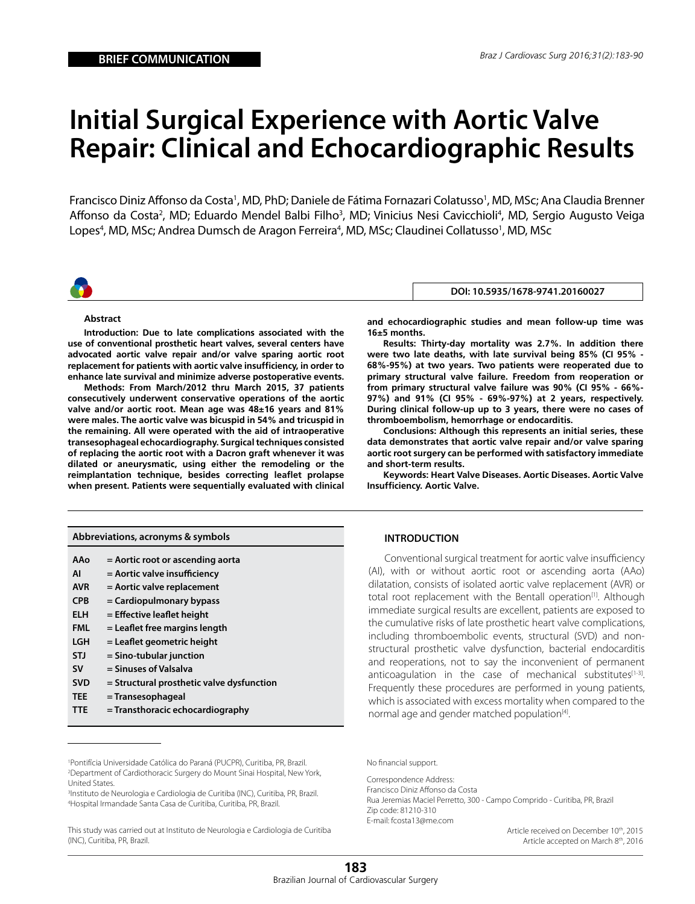# **Initial Surgical Experience with Aortic Valve Repair: Clinical and Echocardiographic Results**

Francisco Diniz Affonso da Costa<sup>1</sup>, MD, PhD; Daniele de Fátima Fornazari Colatusso<sup>1</sup>, MD, MSc; Ana Claudia Brenner Affonso da Costa<sup>2</sup>, MD; Eduardo Mendel Balbi Filho<sup>3</sup>, MD; Vinicius Nesi Cavicchioli<sup>4</sup>, MD, Sergio Augusto Veiga Lopes<sup>4</sup>, MD, MSc; Andrea Dumsch de Aragon Ferreira<sup>4</sup>, MD, MSc; Claudinei Collatusso<sup>1</sup>, MD, MSc



#### **DOI: 10.5935/1678-9741.20160027**

## **Abstract**

**Introduction: Due to late complications associated with the use of conventional prosthetic heart valves, several centers have advocated aortic valve repair and/or valve sparing aortic root replacement for patients with aortic valve insufficiency, in order to enhance late survival and minimize adverse postoperative events.**

**Methods: From March/2012 thru March 2015, 37 patients consecutively underwent conservative operations of the aortic valve and/or aortic root. Mean age was 48±16 years and 81% were males. The aortic valve was bicuspid in 54% and tricuspid in the remaining. All were operated with the aid of intraoperative transesophageal echocardiography. Surgical techniques consisted of replacing the aortic root with a Dacron graft whenever it was dilated or aneurysmatic, using either the remodeling or the reimplantation technique, besides correcting leaflet prolapse when present. Patients were sequentially evaluated with clinical**  **and echocardiographic studies and mean follow-up time was 16±5 months.**

**Results: Thirty-day mortality was 2.7%. In addition there were two late deaths, with late survival being 85% (CI 95% - 68%-95%) at two years. Two patients were reoperated due to primary structural valve failure. Freedom from reoperation or from primary structural valve failure was 90% (CI 95% - 66%- 97%) and 91% (CI 95% - 69%-97%) at 2 years, respectively. During clinical follow-up up to 3 years, there were no cases of thromboembolism, hemorrhage or endocarditis.** 

**Conclusions: Although this represents an initial series, these data demonstrates that aortic valve repair and/or valve sparing aortic root surgery can be performed with satisfactory immediate and short-term results.** 

**Keywords: Heart Valve Diseases. Aortic Diseases. Aortic Valve Insufficiency. Aortic Valve.**

# **INTRODUCTION**

Conventional surgical treatment for aortic valve insufficiency (AI), with or without aortic root or ascending aorta (AAo) dilatation, consists of isolated aortic valve replacement (AVR) or total root replacement with the Bentall operation<sup>[1]</sup>. Although immediate surgical results are excellent, patients are exposed to the cumulative risks of late prosthetic heart valve complications, including thromboembolic events, structural (SVD) and nonstructural prosthetic valve dysfunction, bacterial endocarditis and reoperations, not to say the inconvenient of permanent anticoagulation in the case of mechanical substitutes $[1-3]$ . Frequently these procedures are performed in young patients, which is associated with excess mortality when compared to the normal age and gender matched population<sup>[4]</sup>.

No financial support.

Correspondence Address: Francisco Diniz Affonso da Costa Rua Jeremias Maciel Perretto, 300 - Campo Comprido - Curitiba, PR, Brazil Zip code: 81210-310 E-mail: fcosta13@me.com

Article received on December 10<sup>th</sup>, 2015 Article accepted on March 8<sup>th</sup>, 2016

| AAo        | = Aortic root or ascending aorta          |
|------------|-------------------------------------------|
| ΑI         | = Aortic valve insufficiency              |
| <b>AVR</b> | = Aortic valve replacement                |
| <b>CPB</b> | = Cardiopulmonary bypass                  |
| ELH        | $=$ Effective leaflet height              |
| <b>FML</b> | = Leaflet free margins length             |
| LGH        | = Leaflet geometric height                |
| <b>STJ</b> | $=$ Sino-tubular junction                 |
| <b>SV</b>  | = Sinuses of Valsalva                     |
| <b>SVD</b> | = Structural prosthetic valve dysfunction |
| <b>TEE</b> | = Transesophageal                         |
|            |                                           |

**TTE = Transthoracic echocardiography** 

**Abbreviations, acronyms & symbols**

1 Pontifícia Universidade Católica do Paraná (PUCPR), Curitiba, PR, Brazil. 2 Department of Cardiothoracic Surgery do Mount Sinai Hospital, New York, United States.

3 Instituto de Neurologia e Cardiologia de Curitiba (INC), Curitiba, PR, Brazil. 4 Hospital Irmandade Santa Casa de Curitiba, Curitiba, PR, Brazil.

This study was carried out at Instituto de Neurologia e Cardiologia de Curitiba (INC), Curitiba, PR, Brazil.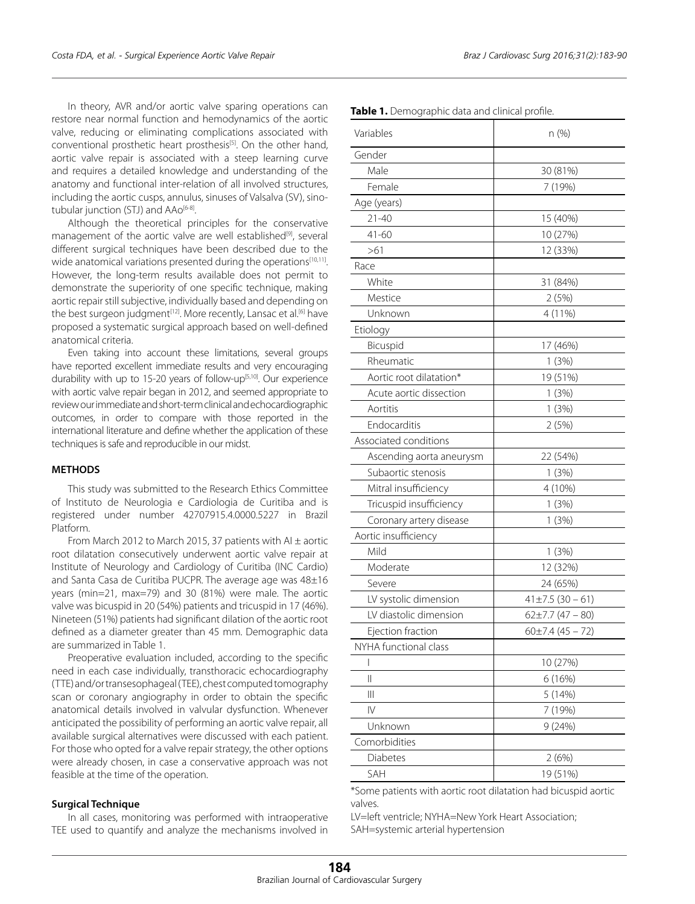In theory, AVR and/or aortic valve sparing operations can restore near normal function and hemodynamics of the aortic valve, reducing or eliminating complications associated with conventional prosthetic heart prosthesis<sup>[5]</sup>. On the other hand, aortic valve repair is associated with a steep learning curve and requires a detailed knowledge and understanding of the anatomy and functional inter-relation of all involved structures, including the aortic cusps, annulus, sinuses of Valsalva (SV), sinotubular junction (STJ) and AAo<sup>[6-8]</sup>.

Although the theoretical principles for the conservative management of the aortic valve are well established<sup>[9]</sup>, several different surgical techniques have been described due to the wide anatomical variations presented during the operations<sup>[10,11]</sup>. However, the long-term results available does not permit to demonstrate the superiority of one specific technique, making aortic repair still subjective, individually based and depending on the best surgeon judgment<sup>[12]</sup>. More recently, Lansac et al.<sup>[6]</sup> have proposed a systematic surgical approach based on well-defined anatomical criteria.

Even taking into account these limitations, several groups have reported excellent immediate results and very encouraging durability with up to 15-20 years of follow-up<sup>[5,10]</sup>. Our experience with aortic valve repair began in 2012, and seemed appropriate to review our immediate and short-term clinical and echocardiographic outcomes, in order to compare with those reported in the international literature and define whether the application of these techniques is safe and reproducible in our midst.

## **METHODS**

This study was submitted to the Research Ethics Committee of Instituto de Neurologia e Cardiologia de Curitiba and is registered under number 42707915.4.0000.5227 in Brazil Platform.

From March 2012 to March 2015, 37 patients with AI  $\pm$  aortic root dilatation consecutively underwent aortic valve repair at Institute of Neurology and Cardiology of Curitiba (INC Cardio) and Santa Casa de Curitiba PUCPR. The average age was 48±16 years (min=21, max=79) and 30 (81%) were male. The aortic valve was bicuspid in 20 (54%) patients and tricuspid in 17 (46%). Nineteen (51%) patients had significant dilation of the aortic root defined as a diameter greater than 45 mm. Demographic data are summarized in Table 1.

Preoperative evaluation included, according to the specific need in each case individually, transthoracic echocardiography (TTE) and/or transesophageal (TEE), chest computed tomography scan or coronary angiography in order to obtain the specific anatomical details involved in valvular dysfunction. Whenever anticipated the possibility of performing an aortic valve repair, all available surgical alternatives were discussed with each patient. For those who opted for a valve repair strategy, the other options were already chosen, in case a conservative approach was not feasible at the time of the operation.

#### **Surgical Technique**

In all cases, monitoring was performed with intraoperative TEE used to quantify and analyze the mechanisms involved in

| Variables                | $n$ (%)              |
|--------------------------|----------------------|
| Gender                   |                      |
| Male                     | 30 (81%)             |
| Female                   | 7 (19%)              |
|                          |                      |
| Age (years)              |                      |
| $21 - 40$                | 15 (40%)             |
| $41 - 60$                | 10 (27%)             |
| >61                      | 12 (33%)             |
| Race                     |                      |
| White                    | 31 (84%)             |
| Mestice                  | 2(5%)                |
| Unknown                  | 4 (11%)              |
| Etiology                 |                      |
| Bicuspid                 | 17 (46%)             |
| Rheumatic                | 1(3%)                |
| Aortic root dilatation*  | 19 (51%)             |
| Acute aortic dissection  | 1(3%)                |
| Aortitis                 | 1(3%)                |
| Endocarditis             | 2(5%)                |
| Associated conditions    |                      |
| Ascending aorta aneurysm | 22 (54%)             |
| Subaortic stenosis       | 1(3%)                |
| Mitral insufficiency     | 4 (10%)              |
| Tricuspid insufficiency  | 1(3%)                |
| Coronary artery disease  | 1(3%)                |
| Aortic insufficiency     |                      |
| Mild                     | 1(3%)                |
| Moderate                 | 12 (32%)             |
| Severe                   | 24 (65%)             |
| LV systolic dimension    | $41\pm7.5(30-61)$    |
| LV diastolic dimension   | $62\pm7.7$ (47 - 80) |
| Ejection fraction        | $60\pm7.4(45-72)$    |
| NYHA functional class    |                      |
| I                        | 10 (27%)             |
| Ш                        | 6 (16%)              |
| $\mid \mid \mid$         | 5(14%)               |
| $\mathsf{IV}$            | 7 (19%)              |
| Unknown                  | 9(24%)               |
| Comorbidities            |                      |
| Diabetes                 | 2(6%)                |
| SAH                      | 19 (51%)             |

**Table 1.** Demographic data and clinical profile

\*Some patients with aortic root dilatation had bicuspid aortic valves.

LV=left ventricle; NYHA=New York Heart Association; SAH=systemic arterial hypertension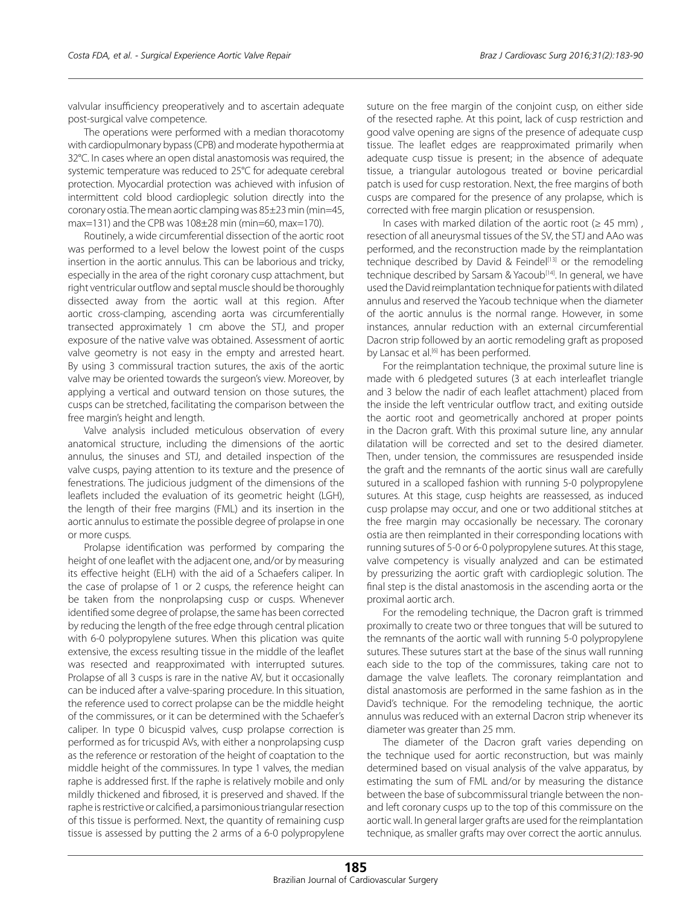valvular insufficiency preoperatively and to ascertain adequate post-surgical valve competence.

The operations were performed with a median thoracotomy with cardiopulmonary bypass (CPB) and moderate hypothermia at 32°C. In cases where an open distal anastomosis was required, the systemic temperature was reduced to 25°C for adequate cerebral protection. Myocardial protection was achieved with infusion of intermittent cold blood cardioplegic solution directly into the coronary ostia. The mean aortic clamping was 85±23 min (min=45, max=131) and the CPB was  $108\pm28$  min (min=60, max=170).

Routinely, a wide circumferential dissection of the aortic root was performed to a level below the lowest point of the cusps insertion in the aortic annulus. This can be laborious and tricky, especially in the area of the right coronary cusp attachment, but right ventricular outflow and septal muscle should be thoroughly dissected away from the aortic wall at this region. After aortic cross-clamping, ascending aorta was circumferentially transected approximately 1 cm above the STJ, and proper exposure of the native valve was obtained. Assessment of aortic valve geometry is not easy in the empty and arrested heart. By using 3 commissural traction sutures, the axis of the aortic valve may be oriented towards the surgeon's view. Moreover, by applying a vertical and outward tension on those sutures, the cusps can be stretched, facilitating the comparison between the free margin's height and length.

Valve analysis included meticulous observation of every anatomical structure, including the dimensions of the aortic annulus, the sinuses and STJ, and detailed inspection of the valve cusps, paying attention to its texture and the presence of fenestrations. The judicious judgment of the dimensions of the leaflets included the evaluation of its geometric height (LGH), the length of their free margins (FML) and its insertion in the aortic annulus to estimate the possible degree of prolapse in one or more cusps.

Prolapse identification was performed by comparing the height of one leaflet with the adjacent one, and/or by measuring its effective height (ELH) with the aid of a Schaefers caliper. In the case of prolapse of 1 or 2 cusps, the reference height can be taken from the nonprolapsing cusp or cusps. Whenever identified some degree of prolapse, the same has been corrected by reducing the length of the free edge through central plication with 6-0 polypropylene sutures. When this plication was quite extensive, the excess resulting tissue in the middle of the leaflet was resected and reapproximated with interrupted sutures. Prolapse of all 3 cusps is rare in the native AV, but it occasionally can be induced after a valve-sparing procedure. In this situation, the reference used to correct prolapse can be the middle height of the commissures, or it can be determined with the Schaefer's caliper. In type 0 bicuspid valves, cusp prolapse correction is performed as for tricuspid AVs, with either a nonprolapsing cusp as the reference or restoration of the height of coaptation to the middle height of the commissures. In type 1 valves, the median raphe is addressed first. If the raphe is relatively mobile and only mildly thickened and fibrosed, it is preserved and shaved. If the raphe is restrictive or calcified, a parsimonious triangular resection of this tissue is performed. Next, the quantity of remaining cusp tissue is assessed by putting the 2 arms of a 6-0 polypropylene suture on the free margin of the conjoint cusp, on either side of the resected raphe. At this point, lack of cusp restriction and good valve opening are signs of the presence of adequate cusp tissue. The leaflet edges are reapproximated primarily when adequate cusp tissue is present; in the absence of adequate tissue, a triangular autologous treated or bovine pericardial patch is used for cusp restoration. Next, the free margins of both cusps are compared for the presence of any prolapse, which is corrected with free margin plication or resuspension.

In cases with marked dilation of the aortic root ( $\geq 45$  mm), resection of all aneurysmal tissues of the SV, the STJ and AAo was performed, and the reconstruction made by the reimplantation technique described by David & Feindel<sup>[13]</sup> or the remodeling technique described by Sarsam & Yacoub<sup>[14]</sup>. In general, we have used the David reimplantation technique for patients with dilated annulus and reserved the Yacoub technique when the diameter of the aortic annulus is the normal range. However, in some instances, annular reduction with an external circumferential Dacron strip followed by an aortic remodeling graft as proposed by Lansac et al.<sup>[6]</sup> has been performed.

For the reimplantation technique, the proximal suture line is made with 6 pledgeted sutures (3 at each interleaflet triangle and 3 below the nadir of each leaflet attachment) placed from the inside the left ventricular outflow tract, and exiting outside the aortic root and geometrically anchored at proper points in the Dacron graft. With this proximal suture line, any annular dilatation will be corrected and set to the desired diameter. Then, under tension, the commissures are resuspended inside the graft and the remnants of the aortic sinus wall are carefully sutured in a scalloped fashion with running 5-0 polypropylene sutures. At this stage, cusp heights are reassessed, as induced cusp prolapse may occur, and one or two additional stitches at the free margin may occasionally be necessary. The coronary ostia are then reimplanted in their corresponding locations with running sutures of 5-0 or 6-0 polypropylene sutures. At this stage, valve competency is visually analyzed and can be estimated by pressurizing the aortic graft with cardioplegic solution. The final step is the distal anastomosis in the ascending aorta or the proximal aortic arch.

For the remodeling technique, the Dacron graft is trimmed proximally to create two or three tongues that will be sutured to the remnants of the aortic wall with running 5-0 polypropylene sutures. These sutures start at the base of the sinus wall running each side to the top of the commissures, taking care not to damage the valve leaflets. The coronary reimplantation and distal anastomosis are performed in the same fashion as in the David's technique. For the remodeling technique, the aortic annulus was reduced with an external Dacron strip whenever its diameter was greater than 25 mm.

The diameter of the Dacron graft varies depending on the technique used for aortic reconstruction, but was mainly determined based on visual analysis of the valve apparatus, by estimating the sum of FML and/or by measuring the distance between the base of subcommissural triangle between the nonand left coronary cusps up to the top of this commissure on the aortic wall. In general larger grafts are used for the reimplantation technique, as smaller grafts may over correct the aortic annulus.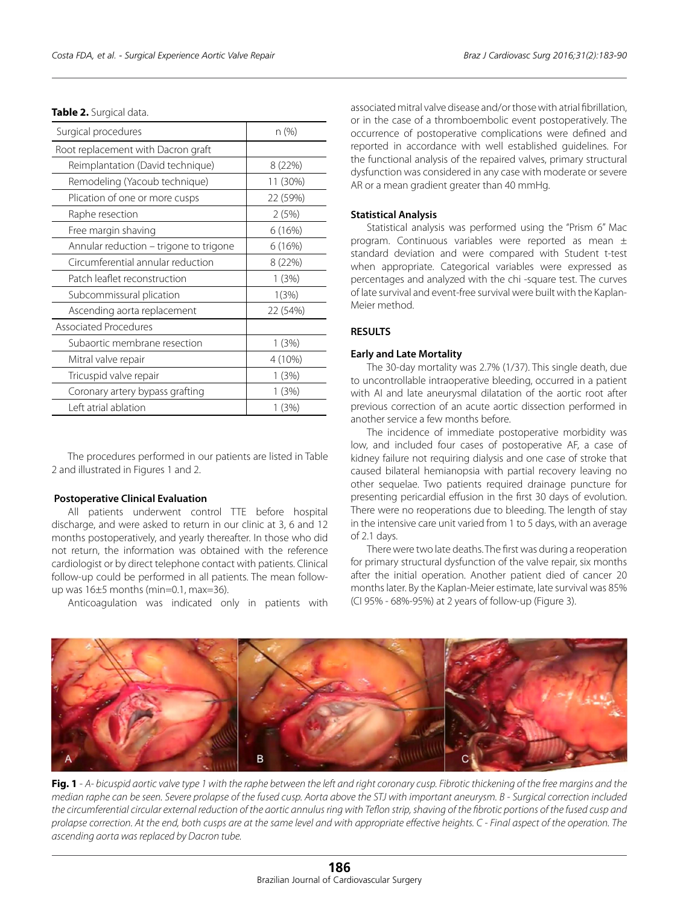|  |  |  |  |  | Table 2. Surgical data. |
|--|--|--|--|--|-------------------------|
|--|--|--|--|--|-------------------------|

| Surgical procedures                    | n (%)    |
|----------------------------------------|----------|
| Root replacement with Dacron graft     |          |
| Reimplantation (David technique)       | 8 (22%)  |
| Remodeling (Yacoub technique)          | 11 (30%) |
| Plication of one or more cusps         | 22 (59%) |
| Raphe resection                        | 2(5%)    |
| Free margin shaving                    | 6(16%)   |
| Annular reduction – trigone to trigone | 6(16%)   |
| Circumferential annular reduction      | 8 (22%)  |
| Patch leaflet reconstruction           | 1(3%)    |
| Subcommissural plication               | 1(3%)    |
| Ascending aorta replacement            | 22 (54%) |
| <b>Associated Procedures</b>           |          |
| Subaortic membrane resection           | 1(3%)    |
| Mitral valve repair                    | 4 (10%)  |
| Tricuspid valve repair                 | 1(3%)    |
| Coronary artery bypass grafting        | 1 (3%)   |
| Left atrial ablation                   | 1(3%)    |

The procedures performed in our patients are listed in Table 2 and illustrated in Figures 1 and 2.

#### **Postoperative Clinical Evaluation**

All patients underwent control TTE before hospital discharge, and were asked to return in our clinic at 3, 6 and 12 months postoperatively, and yearly thereafter. In those who did not return, the information was obtained with the reference cardiologist or by direct telephone contact with patients. Clinical follow-up could be performed in all patients. The mean followup was 16±5 months (min=0.1, max=36).

Anticoagulation was indicated only in patients with

associated mitral valve disease and/or those with atrial fibrillation, or in the case of a thromboembolic event postoperatively. The occurrence of postoperative complications were defined and reported in accordance with well established guidelines. For the functional analysis of the repaired valves, primary structural dysfunction was considered in any case with moderate or severe AR or a mean gradient greater than 40 mmHg.

# **Statistical Analysis**

Statistical analysis was performed using the "Prism 6" Mac program. Continuous variables were reported as mean ± standard deviation and were compared with Student t-test when appropriate. Categorical variables were expressed as percentages and analyzed with the chi -square test. The curves of late survival and event-free survival were built with the Kaplan-Meier method.

# **RESULTS**

#### **Early and Late Mortality**

The 30-day mortality was 2.7% (1/37). This single death, due to uncontrollable intraoperative bleeding, occurred in a patient with AI and late aneurysmal dilatation of the aortic root after previous correction of an acute aortic dissection performed in another service a few months before.

The incidence of immediate postoperative morbidity was low, and included four cases of postoperative AF, a case of kidney failure not requiring dialysis and one case of stroke that caused bilateral hemianopsia with partial recovery leaving no other sequelae. Two patients required drainage puncture for presenting pericardial effusion in the first 30 days of evolution. There were no reoperations due to bleeding. The length of stay in the intensive care unit varied from 1 to 5 days, with an average of 2.1 days.

There were two late deaths. The first was during a reoperation for primary structural dysfunction of the valve repair, six months after the initial operation. Another patient died of cancer 20 months later. By the Kaplan-Meier estimate, late survival was 85% (CI 95% - 68%-95%) at 2 years of follow-up (Figure 3).



**Fig. 1** - *A- bicuspid aortic valve type 1 with the raphe between the left and right coronary cusp. Fibrotic thickening of the free margins and the median raphe can be seen. Severe prolapse of the fused cusp. Aorta above the STJ with important aneurysm. B - Surgical correction included the circumferential circular external reduction of the aortic annulus ring with Teflon strip, shaving of the fibrotic portions of the fused cusp and prolapse correction. At the end, both cusps are at the same level and with appropriate effective heights. C - Final aspect of the operation. The ascending aorta was replaced by Dacron tube.*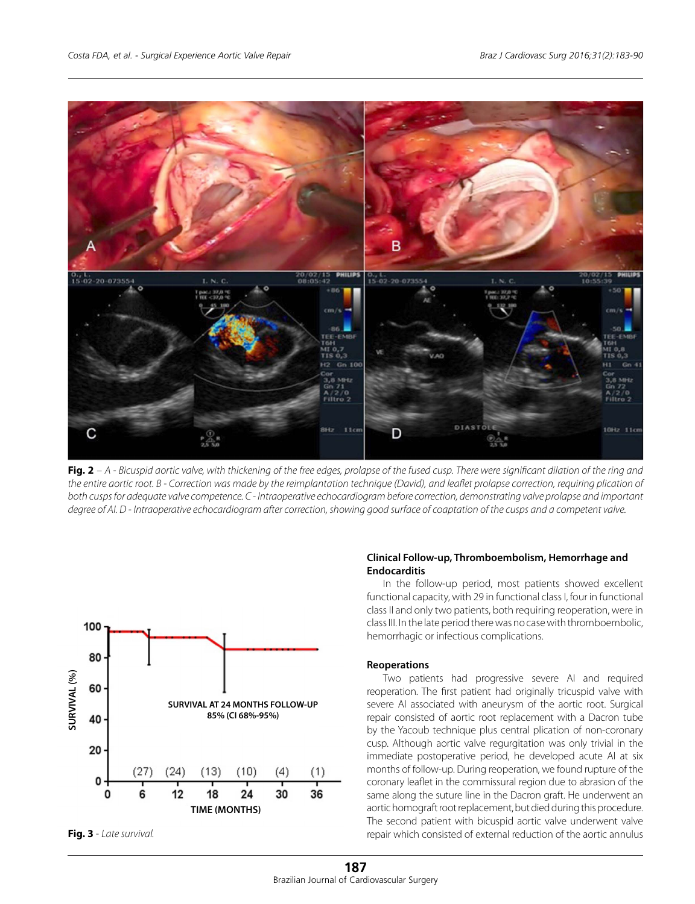

**Fig. 2** – *A - Bicuspid aortic valve, with thickening of the free edges, prolapse of the fused cusp. There were significant dilation of the ring and the entire aortic root. B - Correction was made by the reimplantation technique (David), and leaflet prolapse correction, requiring plication of both cusps for adequate valve competence. C - Intraoperative echocardiogram before correction, demonstrating valve prolapse and important degree of AI. D - Intraoperative echocardiogram after correction, showing good surface of coaptation of the cusps and a competent valve.*



**Fig. 3** - *Late survival.*

# **Clinical Follow-up, Thromboembolism, Hemorrhage and Endocarditis**

In the follow-up period, most patients showed excellent functional capacity, with 29 in functional class I, four in functional class II and only two patients, both requiring reoperation, were in class III. In the late period there was no case with thromboembolic, hemorrhagic or infectious complications.

# **Reoperations**

Two patients had progressive severe AI and required reoperation. The first patient had originally tricuspid valve with severe AI associated with aneurysm of the aortic root. Surgical repair consisted of aortic root replacement with a Dacron tube by the Yacoub technique plus central plication of non-coronary cusp. Although aortic valve regurgitation was only trivial in the immediate postoperative period, he developed acute AI at six months of follow-up. During reoperation, we found rupture of the coronary leaflet in the commissural region due to abrasion of the same along the suture line in the Dacron graft. He underwent an aortic homograft root replacement, but died during this procedure. The second patient with bicuspid aortic valve underwent valve repair which consisted of external reduction of the aortic annulus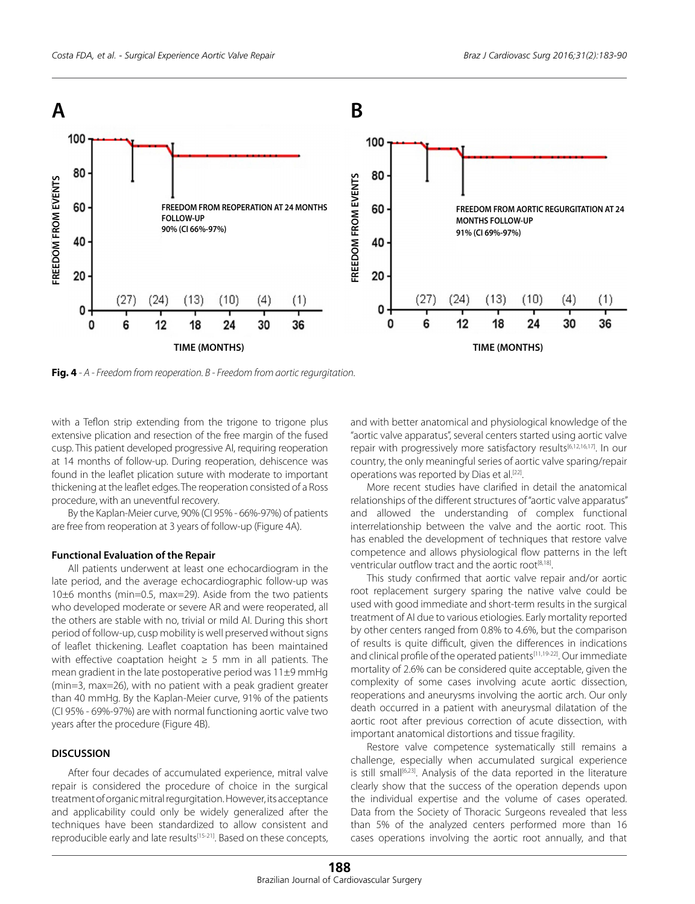

with a Teflon strip extending from the trigone to trigone plus extensive plication and resection of the free margin of the fused cusp. This patient developed progressive AI, requiring reoperation at 14 months of follow-up. During reoperation, dehiscence was found in the leaflet plication suture with moderate to important thickening at the leaflet edges. The reoperation consisted of a Ross procedure, with an uneventful recovery.

By the Kaplan-Meier curve, 90% (CI 95% - 66%-97%) of patients are free from reoperation at 3 years of follow-up (Figure 4A).

## **Functional Evaluation of the Repair**

All patients underwent at least one echocardiogram in the late period, and the average echocardiographic follow-up was 10±6 months (min=0.5, max=29). Aside from the two patients who developed moderate or severe AR and were reoperated, all the others are stable with no, trivial or mild AI. During this short period of follow-up, cusp mobility is well preserved without signs of leaflet thickening. Leaflet coaptation has been maintained with effective coaptation height  $\geq$  5 mm in all patients. The mean gradient in the late postoperative period was 11±9 mmHg (min=3, max=26), with no patient with a peak gradient greater than 40 mmHg. By the Kaplan-Meier curve, 91% of the patients (CI 95% - 69%-97%) are with normal functioning aortic valve two years after the procedure (Figure 4B).

## **DISCUSSION**

After four decades of accumulated experience, mitral valve repair is considered the procedure of choice in the surgical treatment of organic mitral regurgitation. However, its acceptance and applicability could only be widely generalized after the techniques have been standardized to allow consistent and reproducible early and late results<sup>[15-21]</sup>. Based on these concepts, and with better anatomical and physiological knowledge of the "aortic valve apparatus", several centers started using aortic valve repair with progressively more satisfactory results<sup>[6,12,16,17]</sup>. In our country, the only meaningful series of aortic valve sparing/repair operations was reported by Dias et al.<sup>[22]</sup>.

More recent studies have clarified in detail the anatomical relationships of the different structures of "aortic valve apparatus" and allowed the understanding of complex functional interrelationship between the valve and the aortic root. This has enabled the development of techniques that restore valve competence and allows physiological flow patterns in the left ventricular outflow tract and the aortic root<sup>[8,18]</sup>.

This study confirmed that aortic valve repair and/or aortic root replacement surgery sparing the native valve could be used with good immediate and short-term results in the surgical treatment of AI due to various etiologies. Early mortality reported by other centers ranged from 0.8% to 4.6%, but the comparison of results is quite difficult, given the differences in indications and clinical profile of the operated patients<sup>[11,19-22]</sup>. Our immediate mortality of 2.6% can be considered quite acceptable, given the complexity of some cases involving acute aortic dissection, reoperations and aneurysms involving the aortic arch. Our only death occurred in a patient with aneurysmal dilatation of the aortic root after previous correction of acute dissection, with important anatomical distortions and tissue fragility.

Restore valve competence systematically still remains a challenge, especially when accumulated surgical experience is still small<sup>[6,23]</sup>. Analysis of the data reported in the literature clearly show that the success of the operation depends upon the individual expertise and the volume of cases operated. Data from the Society of Thoracic Surgeons revealed that less than 5% of the analyzed centers performed more than 16 cases operations involving the aortic root annually, and that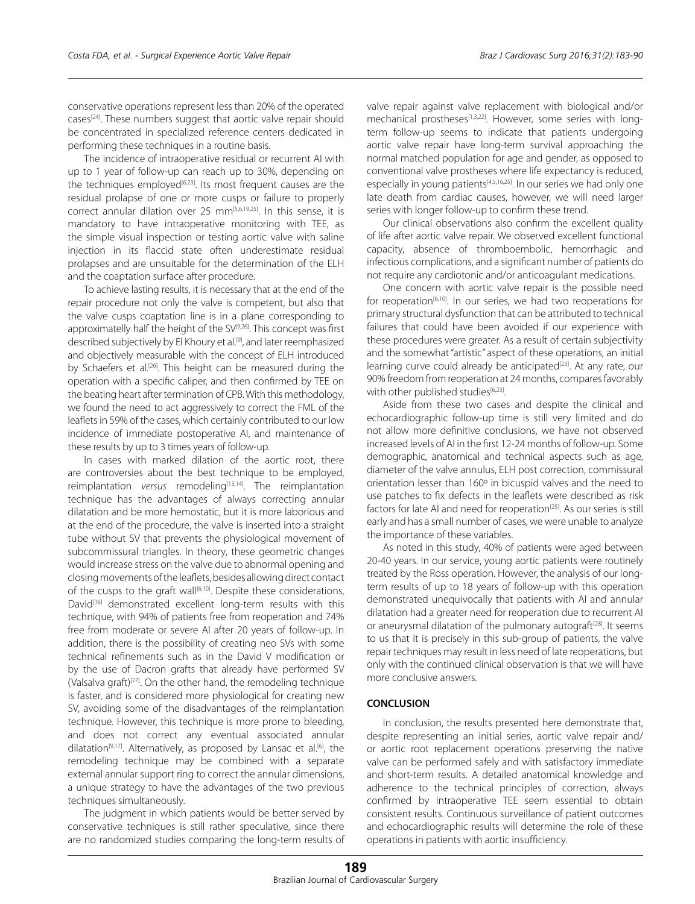conservative operations represent less than 20% of the operated cases[24]. These numbers suggest that aortic valve repair should be concentrated in specialized reference centers dedicated in performing these techniques in a routine basis.

The incidence of intraoperative residual or recurrent AI with up to 1 year of follow-up can reach up to 30%, depending on the techniques employed<sup>[6,23]</sup>. Its most frequent causes are the residual prolapse of one or more cusps or failure to properly correct annular dilation over 25  $mm^{[5,6,19,25]}$ . In this sense, it is mandatory to have intraoperative monitoring with TEE, as the simple visual inspection or testing aortic valve with saline injection in its flaccid state often underestimate residual prolapses and are unsuitable for the determination of the ELH and the coaptation surface after procedure.

To achieve lasting results, it is necessary that at the end of the repair procedure not only the valve is competent, but also that the valve cusps coaptation line is in a plane corresponding to approximatelly half the height of the SV<sup>[9,26]</sup>. This concept was first described subjectively by El Khoury et al.<sup>[9]</sup>, and later reemphasized and objectively measurable with the concept of ELH introduced by Schaefers et al.<sup>[26]</sup>. This height can be measured during the operation with a specific caliper, and then confirmed by TEE on the beating heart after termination of CPB. With this methodology, we found the need to act aggressively to correct the FML of the leaflets in 59% of the cases, which certainly contributed to our low incidence of immediate postoperative AI, and maintenance of these results by up to 3 times years of follow-up.

In cases with marked dilation of the aortic root, there are controversies about the best technique to be employed, reimplantation *versus* remodeling<sup>[13,14]</sup>. The reimplantation technique has the advantages of always correcting annular dilatation and be more hemostatic, but it is more laborious and at the end of the procedure, the valve is inserted into a straight tube without SV that prevents the physiological movement of subcommissural triangles. In theory, these geometric changes would increase stress on the valve due to abnormal opening and closing movements of the leaflets, besides allowing direct contact of the cusps to the graft wall<sup>[6,10]</sup>. Despite these considerations, David<sup>[16]</sup> demonstrated excellent long-term results with this technique, with 94% of patients free from reoperation and 74% free from moderate or severe AI after 20 years of follow-up. In addition, there is the possibility of creating neo SVs with some technical refinements such as in the David V modification or by the use of Dacron grafts that already have performed SV (Valsalva graft)<sup>[27]</sup>. On the other hand, the remodeling technique is faster, and is considered more physiological for creating new SV, avoiding some of the disadvantages of the reimplantation technique. However, this technique is more prone to bleeding, and does not correct any eventual associated annular dilatation<sup>[9,17]</sup>. Alternatively, as proposed by Lansac et al.<sup>[6]</sup>, the remodeling technique may be combined with a separate external annular support ring to correct the annular dimensions, a unique strategy to have the advantages of the two previous techniques simultaneously.

The judgment in which patients would be better served by conservative techniques is still rather speculative, since there are no randomized studies comparing the long-term results of valve repair against valve replacement with biological and/or mechanical prostheses[1,3,22]. However, some series with longterm follow-up seems to indicate that patients undergoing aortic valve repair have long-term survival approaching the normal matched population for age and gender, as opposed to conventional valve prostheses where life expectancy is reduced, especially in young patients<sup>[4,5,16,25]</sup>. In our series we had only one late death from cardiac causes, however, we will need larger series with longer follow-up to confirm these trend.

Our clinical observations also confirm the excellent quality of life after aortic valve repair. We observed excellent functional capacity, absence of thromboembolic, hemorrhagic and infectious complications, and a significant number of patients do not require any cardiotonic and/or anticoagulant medications.

One concern with aortic valve repair is the possible need for reoperation<sup>[6,10]</sup>. In our series, we had two reoperations for primary structural dysfunction that can be attributed to technical failures that could have been avoided if our experience with these procedures were greater. As a result of certain subjectivity and the somewhat "artistic" aspect of these operations, an initial learning curve could already be anticipated<sup>[23]</sup>. At any rate, our 90% freedom from reoperation at 24 months, compares favorably with other published studies<sup>[6,23]</sup>.

Aside from these two cases and despite the clinical and echocardiographic follow-up time is still very limited and do not allow more definitive conclusions, we have not observed increased levels of AI in the first 12-24 months of follow-up. Some demographic, anatomical and technical aspects such as age, diameter of the valve annulus, ELH post correction, commissural orientation lesser than 160º in bicuspid valves and the need to use patches to fix defects in the leaflets were described as risk factors for late AI and need for reoperation<sup>[25]</sup>. As our series is still early and has a small number of cases, we were unable to analyze the importance of these variables.

As noted in this study, 40% of patients were aged between 20-40 years. In our service, young aortic patients were routinely treated by the Ross operation. However, the analysis of our longterm results of up to 18 years of follow-up with this operation demonstrated unequivocally that patients with AI and annular dilatation had a greater need for reoperation due to recurrent AI or aneurysmal dilatation of the pulmonary autograft<sup>[28]</sup>. It seems to us that it is precisely in this sub-group of patients, the valve repair techniques may result in less need of late reoperations, but only with the continued clinical observation is that we will have more conclusive answers.

# **CONCLUSION**

In conclusion, the results presented here demonstrate that, despite representing an initial series, aortic valve repair and/ or aortic root replacement operations preserving the native valve can be performed safely and with satisfactory immediate and short-term results. A detailed anatomical knowledge and adherence to the technical principles of correction, always confirmed by intraoperative TEE seem essential to obtain consistent results. Continuous surveillance of patient outcomes and echocardiographic results will determine the role of these operations in patients with aortic insufficiency.